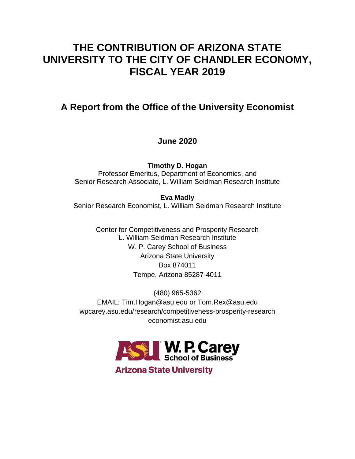# **THE CONTRIBUTION OF ARIZONA STATE UNIVERSITY TO THE CITY OF CHANDLER ECONOMY, FISCAL YEAR 2019**

## **A Report from the Office of the University Economist**

## **June 2020**

**Timothy D. Hogan** Professor Emeritus, Department of Economics, and Senior Research Associate, L. William Seidman Research Institute

**Eva Madly** Senior Research Economist, L. William Seidman Research Institute

> Center for Competitiveness and Prosperity Research L. William Seidman Research Institute W. P. Carey School of Business Arizona State University Box 874011 Tempe, Arizona 85287-4011

(480) 965-5362 EMAIL: Tim.Hogan@asu.edu or Tom.Rex@asu.edu wpcarey.asu.edu/research/competitiveness-prosperity-research economist.asu.edu



**Arizona State University**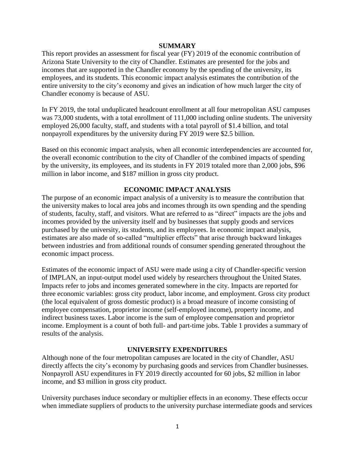### **SUMMARY**

This report provides an assessment for fiscal year (FY) 2019 of the economic contribution of Arizona State University to the city of Chandler. Estimates are presented for the jobs and incomes that are supported in the Chandler economy by the spending of the university, its employees, and its students. This economic impact analysis estimates the contribution of the entire university to the city's economy and gives an indication of how much larger the city of Chandler economy is because of ASU.

In FY 2019, the total unduplicated headcount enrollment at all four metropolitan ASU campuses was 73,000 students, with a total enrollment of 111,000 including online students. The university employed 26,000 faculty, staff, and students with a total payroll of \$1.4 billion, and total nonpayroll expenditures by the university during FY 2019 were \$2.5 billion.

Based on this economic impact analysis, when all economic interdependencies are accounted for, the overall economic contribution to the city of Chandler of the combined impacts of spending by the university, its employees, and its students in FY 2019 totaled more than 2,000 jobs, \$96 million in labor income, and \$187 million in gross city product.

## **ECONOMIC IMPACT ANALYSIS**

The purpose of an economic impact analysis of a university is to measure the contribution that the university makes to local area jobs and incomes through its own spending and the spending of students, faculty, staff, and visitors. What are referred to as "direct" impacts are the jobs and incomes provided by the university itself and by businesses that supply goods and services purchased by the university, its students, and its employees. In economic impact analysis, estimates are also made of so-called "multiplier effects" that arise through backward linkages between industries and from additional rounds of consumer spending generated throughout the economic impact process.

Estimates of the economic impact of ASU were made using a city of Chandler-specific version of IMPLAN, an input-output model used widely by researchers throughout the United States. Impacts refer to jobs and incomes generated somewhere in the city. Impacts are reported for three economic variables: gross city product, labor income, and employment. Gross city product (the local equivalent of gross domestic product) is a broad measure of income consisting of employee compensation, proprietor income (self-employed income), property income, and indirect business taxes. Labor income is the sum of employee compensation and proprietor income. Employment is a count of both full- and part-time jobs. Table 1 provides a summary of results of the analysis.

## **UNIVERSITY EXPENDITURES**

Although none of the four metropolitan campuses are located in the city of Chandler, ASU directly affects the city's economy by purchasing goods and services from Chandler businesses. Nonpayroll ASU expenditures in FY 2019 directly accounted for 60 jobs, \$2 million in labor income, and \$3 million in gross city product.

University purchases induce secondary or multiplier effects in an economy. These effects occur when immediate suppliers of products to the university purchase intermediate goods and services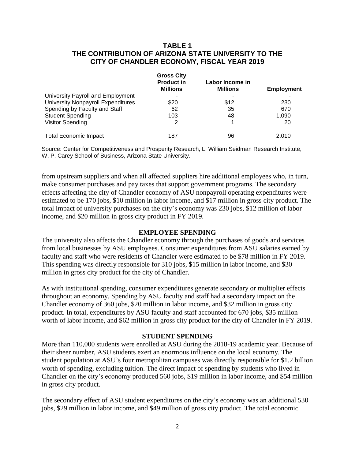## **TABLE 1 THE CONTRIBUTION OF ARIZONA STATE UNIVERSITY TO THE CITY OF CHANDLER ECONOMY, FISCAL YEAR 2019**

|                                           | <b>Gross City</b><br><b>Product in</b><br><b>Millions</b> | Labor Income in<br><b>Millions</b> | Employment |
|-------------------------------------------|-----------------------------------------------------------|------------------------------------|------------|
| University Payroll and Employment         | ۰                                                         |                                    |            |
| <b>University Nonpayroll Expenditures</b> | \$20                                                      | \$12                               | 230        |
| Spending by Faculty and Staff             | 62                                                        | 35                                 | 670        |
| <b>Student Spending</b>                   | 103                                                       | 48                                 | 1,090      |
| <b>Visitor Spending</b>                   | 2                                                         |                                    | 20         |
| <b>Total Economic Impact</b>              | 187                                                       | 96                                 | 2.010      |

Source: Center for Competitiveness and Prosperity Research, L. William Seidman Research Institute, W. P. Carey School of Business, Arizona State University.

from upstream suppliers and when all affected suppliers hire additional employees who, in turn, make consumer purchases and pay taxes that support government programs. The secondary effects affecting the city of Chandler economy of ASU nonpayroll operating expenditures were estimated to be 170 jobs, \$10 million in labor income, and \$17 million in gross city product. The total impact of university purchases on the city's economy was 230 jobs, \$12 million of labor income, and \$20 million in gross city product in FY 2019.

## **EMPLOYEE SPENDING**

The university also affects the Chandler economy through the purchases of goods and services from local businesses by ASU employees. Consumer expenditures from ASU salaries earned by faculty and staff who were residents of Chandler were estimated to be \$78 million in FY 2019. This spending was directly responsible for 310 jobs, \$15 million in labor income, and \$30 million in gross city product for the city of Chandler.

As with institutional spending, consumer expenditures generate secondary or multiplier effects throughout an economy. Spending by ASU faculty and staff had a secondary impact on the Chandler economy of 360 jobs, \$20 million in labor income, and \$32 million in gross city product. In total, expenditures by ASU faculty and staff accounted for 670 jobs, \$35 million worth of labor income, and \$62 million in gross city product for the city of Chandler in FY 2019.

#### **STUDENT SPENDING**

More than 110,000 students were enrolled at ASU during the 2018-19 academic year. Because of their sheer number, ASU students exert an enormous influence on the local economy. The student population at ASU's four metropolitan campuses was directly responsible for \$1.2 billion worth of spending, excluding tuition. The direct impact of spending by students who lived in Chandler on the city's economy produced 560 jobs, \$19 million in labor income, and \$54 million in gross city product.

The secondary effect of ASU student expenditures on the city's economy was an additional 530 jobs, \$29 million in labor income, and \$49 million of gross city product. The total economic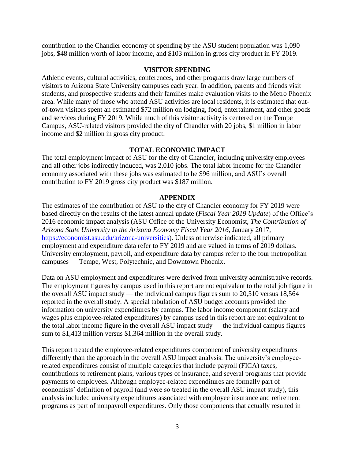contribution to the Chandler economy of spending by the ASU student population was 1,090 jobs, \$48 million worth of labor income, and \$103 million in gross city product in FY 2019.

## **VISITOR SPENDING**

Athletic events, cultural activities, conferences, and other programs draw large numbers of visitors to Arizona State University campuses each year. In addition, parents and friends visit students, and prospective students and their families make evaluation visits to the Metro Phoenix area. While many of those who attend ASU activities are local residents, it is estimated that outof-town visitors spent an estimated \$72 million on lodging, food, entertainment, and other goods and services during FY 2019. While much of this visitor activity is centered on the Tempe Campus, ASU-related visitors provided the city of Chandler with 20 jobs, \$1 million in labor income and \$2 million in gross city product.

## **TOTAL ECONOMIC IMPACT**

The total employment impact of ASU for the city of Chandler, including university employees and all other jobs indirectly induced, was 2,010 jobs. The total labor income for the Chandler economy associated with these jobs was estimated to be \$96 million, and ASU's overall contribution to FY 2019 gross city product was \$187 million.

#### **APPENDIX**

The estimates of the contribution of ASU to the city of Chandler economy for FY 2019 were based directly on the results of the latest annual update (*Fiscal Year 2019 Update*) of the Office's 2016 economic impact analysis (ASU Office of the University Economist, *The Contribution of Arizona State University to the Arizona Economy Fiscal Year 2016*, January 2017, [https://economist.asu.edu/arizona-universities\)](https://economist.asu.edu/arizona-universities). Unless otherwise indicated, all primary employment and expenditure data refer to FY 2019 and are valued in terms of 2019 dollars. University employment, payroll, and expenditure data by campus refer to the four metropolitan campuses — Tempe, West, Polytechnic, and Downtown Phoenix.

Data on ASU employment and expenditures were derived from university administrative records. The employment figures by campus used in this report are not equivalent to the total job figure in the overall ASU impact study — the individual campus figures sum to 20,510 versus 18,564 reported in the overall study. A special tabulation of ASU budget accounts provided the information on university expenditures by campus. The labor income component (salary and wages plus employee-related expenditures) by campus used in this report are not equivalent to the total labor income figure in the overall ASU impact study — the individual campus figures sum to \$1,413 million versus \$1,364 million in the overall study.

This report treated the employee-related expenditures component of university expenditures differently than the approach in the overall ASU impact analysis. The university's employeerelated expenditures consist of multiple categories that include payroll (FICA) taxes, contributions to retirement plans, various types of insurance, and several programs that provide payments to employees. Although employee-related expenditures are formally part of economists' definition of payroll (and were so treated in the overall ASU impact study), this analysis included university expenditures associated with employee insurance and retirement programs as part of nonpayroll expenditures. Only those components that actually resulted in